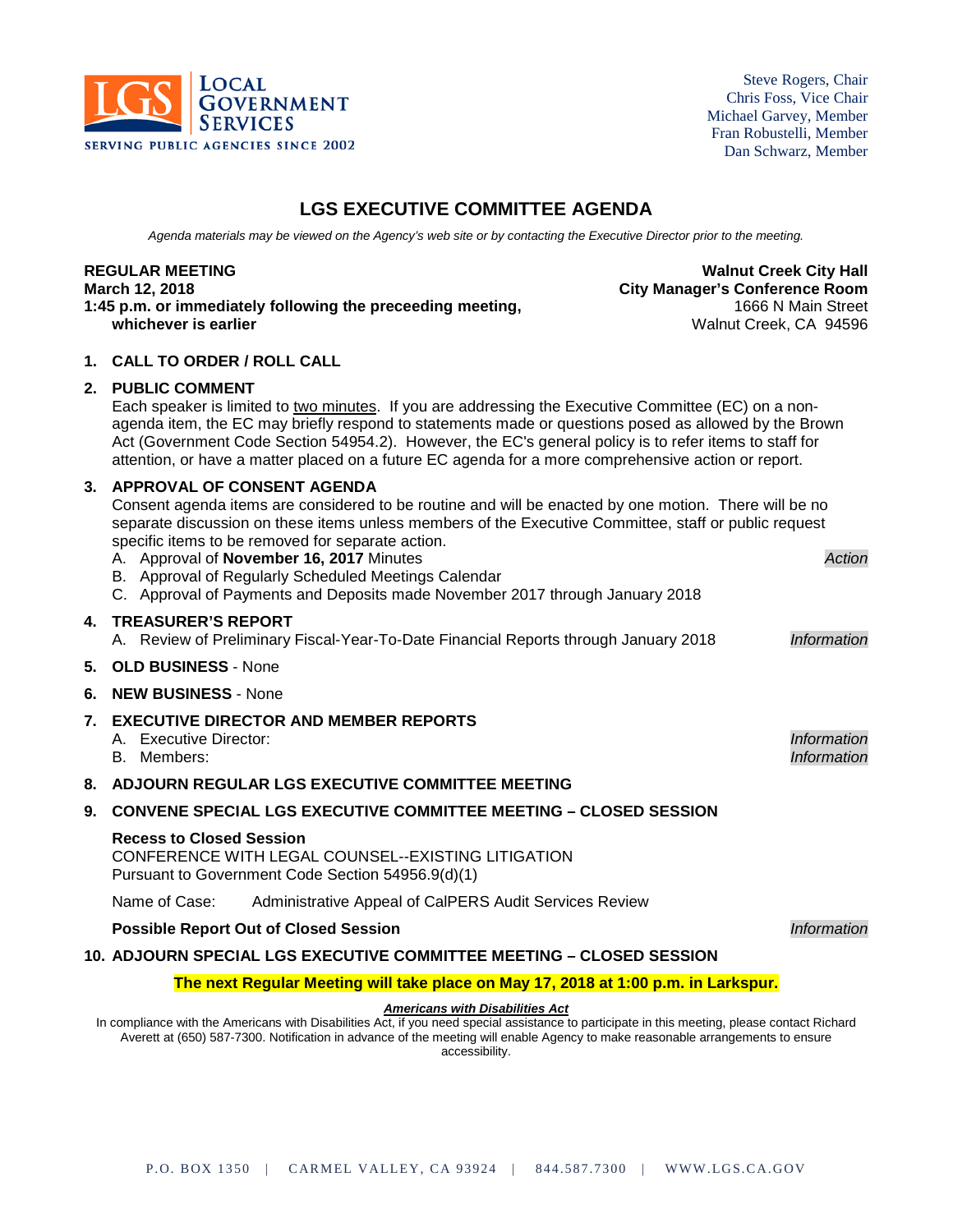

Steve Rogers, Chair Chris Foss, Vice Chair Michael Garvey, Member Fran Robustelli, Member Dan Schwarz, Member

# **LGS EXECUTIVE COMMITTEE AGENDA**

*Agenda materials may be viewed on the Agency's web site or by contacting the Executive Director prior to the meeting.*

1:45 p.m. or immediately following the preceeding meeting, **whichever is earlier** Walnut Creek, CA 94596

**REGULAR MEETING Walnut Creek City Hall March 12, 2018 City Manager's Conference Room**

#### **1. CALL TO ORDER / ROLL CALL**

#### **2. PUBLIC COMMENT**

Each speaker is limited to two minutes. If you are addressing the Executive Committee (EC) on a nonagenda item, the EC may briefly respond to statements made or questions posed as allowed by the Brown Act (Government Code Section 54954.2). However, the EC's general policy is to refer items to staff for attention, or have a matter placed on a future EC agenda for a more comprehensive action or report.

#### **3. APPROVAL OF CONSENT AGENDA**

Consent agenda items are considered to be routine and will be enacted by one motion. There will be no separate discussion on these items unless members of the Executive Committee, staff or public request specific items to be removed for separate action.

A. Approval of **November 16, 2017** Minutes *Action* B. Approval of Regularly Scheduled Meetings Calendar C. Approval of Payments and Deposits made November 2017 through January 2018 **4. TREASURER'S REPORT** A. Review of Preliminary Fiscal-Year-To-Date Financial Reports through January 2018 *Information* **5. OLD BUSINESS** - None **6. NEW BUSINESS** - None **7. EXECUTIVE DIRECTOR AND MEMBER REPORTS** A. Executive Director: *Information* B. Members: *Information* **8. ADJOURN REGULAR LGS EXECUTIVE COMMITTEE MEETING 9. CONVENE SPECIAL LGS EXECUTIVE COMMITTEE MEETING – CLOSED SESSION Recess to Closed Session** CONFERENCE WITH LEGAL COUNSEL--EXISTING LITIGATION Pursuant to Government Code Section 54956.9(d)(1) Name of Case: Administrative Appeal of CalPERS Audit Services Review **Possible Report Out of Closed Session** *Information*

#### **10. ADJOURN SPECIAL LGS EXECUTIVE COMMITTEE MEETING – CLOSED SESSION**

#### **The next Regular Meeting will take place on May 17, 2018 at 1:00 p.m. in Larkspur.**

#### *Americans with Disabilities Act*

In compliance with the Americans with Disabilities Act, if you need special assistance to participate in this meeting, please contact Richard Averett at (650) 587-7300. Notification in advance of the meeting will enable Agency to make reasonable arrangements to ensure accessibility.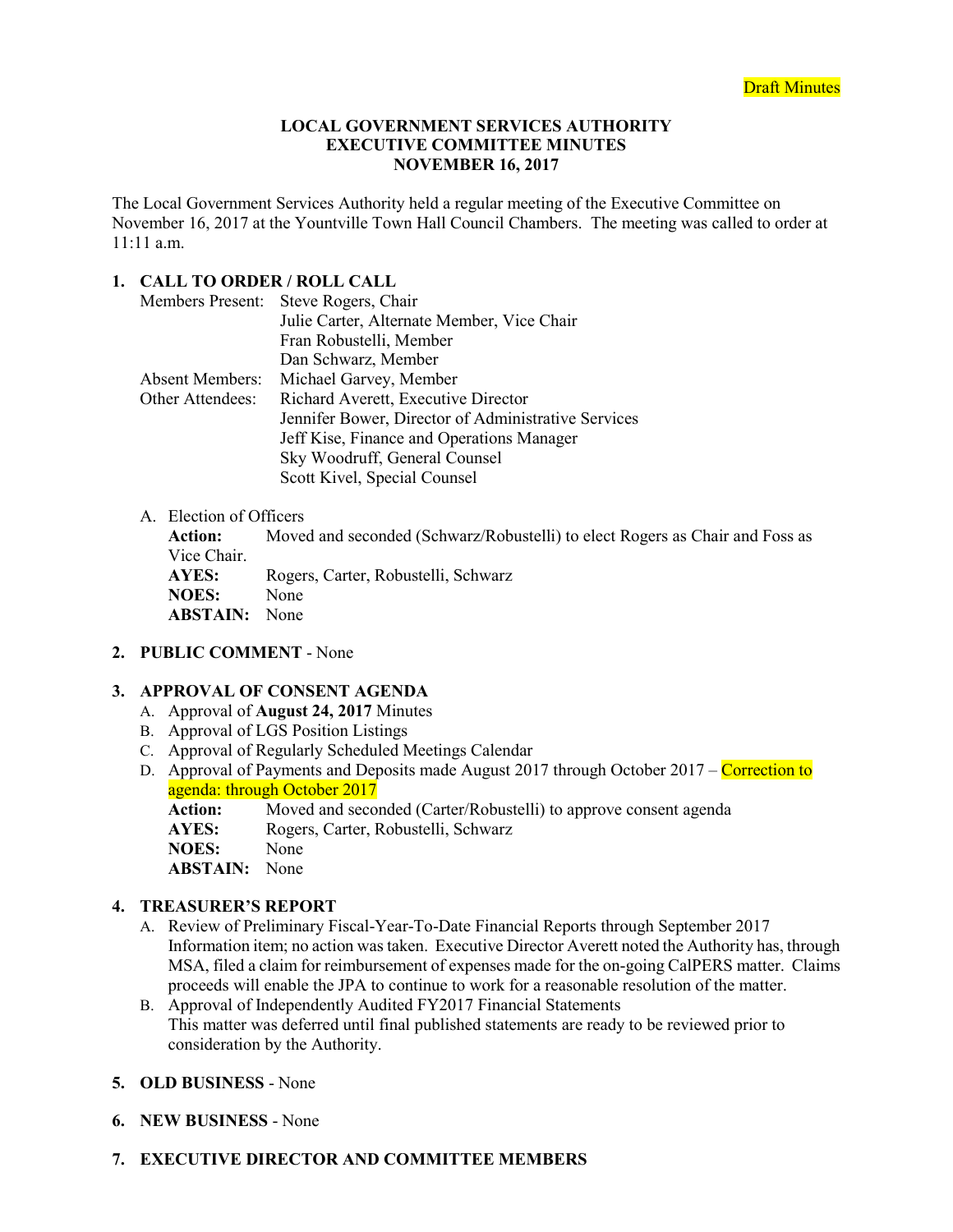#### **LOCAL GOVERNMENT SERVICES AUTHORITY EXECUTIVE COMMITTEE MINUTES NOVEMBER 16, 2017**

The Local Government Services Authority held a regular meeting of the Executive Committee on November 16, 2017 at the Yountville Town Hall Council Chambers. The meeting was called to order at 11:11 a.m.

## **1. CALL TO ORDER / ROLL CALL**

| <b>Members Present:</b> | Steve Rogers, Chair                                 |  |  |  |
|-------------------------|-----------------------------------------------------|--|--|--|
|                         | Julie Carter, Alternate Member, Vice Chair          |  |  |  |
|                         | Fran Robustelli, Member                             |  |  |  |
|                         | Dan Schwarz, Member                                 |  |  |  |
| Absent Members:         | Michael Garvey, Member                              |  |  |  |
| Other Attendees:        | Richard Averett, Executive Director                 |  |  |  |
|                         | Jennifer Bower, Director of Administrative Services |  |  |  |
|                         | Jeff Kise, Finance and Operations Manager           |  |  |  |
|                         | Sky Woodruff, General Counsel                       |  |  |  |
|                         | Scott Kivel, Special Counsel                        |  |  |  |

## A. Election of Officers

**Action:** Moved and seconded (Schwarz/Robustelli) to elect Rogers as Chair and Foss as Vice Chair. **AYES:** Rogers, Carter, Robustelli, Schwarz **NOES:** None **ABSTAIN:** None

### **2. PUBLIC COMMENT** - None

### **3. APPROVAL OF CONSENT AGENDA**

- A. Approval of **August 24, 2017** Minutes
- B. Approval of LGS Position Listings
- C. Approval of Regularly Scheduled Meetings Calendar
- D. Approval of Payments and Deposits made August 2017 through October 2017 Correction to agenda: through October 2017
	- Action: Moved and seconded (Carter/Robustelli) to approve consent agenda **AYES:** Rogers, Carter, Robustelli, Schwarz<br>**NOES:** None **NOES:**

**ABSTAIN:** None

## **4. TREASURER'S REPORT**

- A. Review of Preliminary Fiscal-Year-To-Date Financial Reports through September 2017 Information item; no action was taken. Executive Director Averett noted the Authority has, through MSA, filed a claim for reimbursement of expenses made for the on-going CalPERS matter. Claims proceeds will enable the JPA to continue to work for a reasonable resolution of the matter.
- B. Approval of Independently Audited FY2017 Financial Statements This matter was deferred until final published statements are ready to be reviewed prior to consideration by the Authority.
- **5. OLD BUSINESS** None
- **6. NEW BUSINESS** None

## **7. EXECUTIVE DIRECTOR AND COMMITTEE MEMBERS**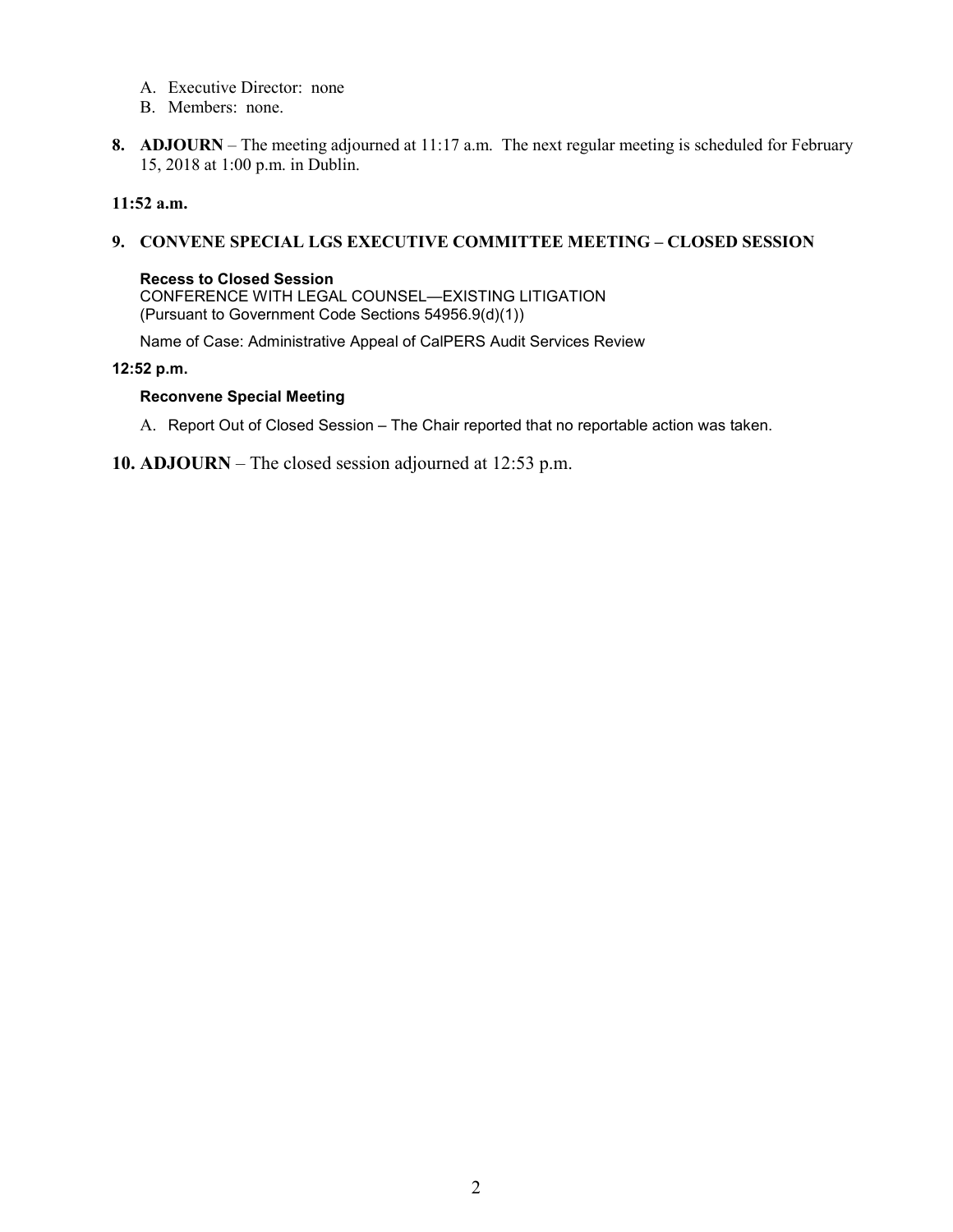- A. Executive Director: none
- B. Members: none.
- **8. ADJOURN** The meeting adjourned at 11:17 a.m. The next regular meeting is scheduled for February 15, 2018 at 1:00 p.m. in Dublin.

### **11:52 a.m.**

### **9. CONVENE SPECIAL LGS EXECUTIVE COMMITTEE MEETING – CLOSED SESSION**

#### **Recess to Closed Session**

CONFERENCE WITH LEGAL COUNSEL—EXISTING LITIGATION (Pursuant to Government Code Sections 54956.9(d)(1))

Name of Case: Administrative Appeal of CalPERS Audit Services Review

#### **12:52 p.m.**

#### **Reconvene Special Meeting**

- A. Report Out of Closed Session The Chair reported that no reportable action was taken.
- **10. ADJOURN** The closed session adjourned at 12:53 p.m.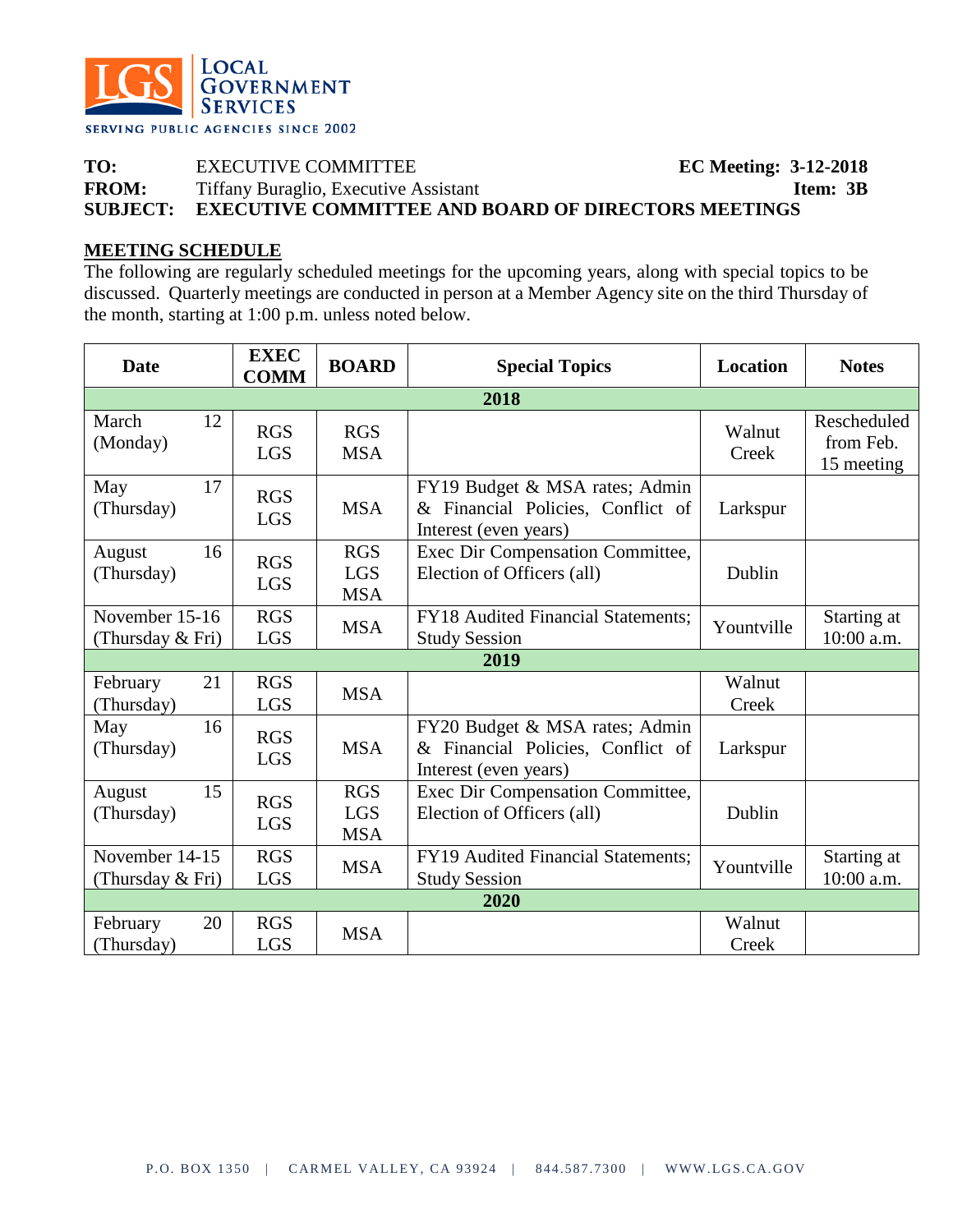

**TO:** EXECUTIVE COMMITTEE **EC Meeting: 3-12-2018 FROM:** Tiffany Buraglio, Executive Assistant **Item: 3B SUBJECT: EXECUTIVE COMMITTEE AND BOARD OF DIRECTORS MEETINGS**

## **MEETING SCHEDULE**

The following are regularly scheduled meetings for the upcoming years, along with special topics to be discussed. Quarterly meetings are conducted in person at a Member Agency site on the third Thursday of the month, starting at 1:00 p.m. unless noted below.

| <b>Date</b>                        | <b>EXEC</b><br><b>COMM</b> | <b>BOARD</b>                           | <b>Special Topics</b>                                                                        | <b>Location</b> | <b>Notes</b>                           |  |  |
|------------------------------------|----------------------------|----------------------------------------|----------------------------------------------------------------------------------------------|-----------------|----------------------------------------|--|--|
| 2018                               |                            |                                        |                                                                                              |                 |                                        |  |  |
| March<br>12<br>(Monday)            | <b>RGS</b><br><b>LGS</b>   | <b>RGS</b><br><b>MSA</b>               |                                                                                              | Walnut<br>Creek | Rescheduled<br>from Feb.<br>15 meeting |  |  |
| May<br>17<br>(Thursday)            | <b>RGS</b><br><b>LGS</b>   | <b>MSA</b>                             | FY19 Budget & MSA rates; Admin<br>& Financial Policies, Conflict of<br>Interest (even years) | Larkspur        |                                        |  |  |
| 16<br>August<br>(Thursday)         | <b>RGS</b><br><b>LGS</b>   | <b>RGS</b><br><b>LGS</b><br><b>MSA</b> | Exec Dir Compensation Committee,<br>Election of Officers (all)                               | Dublin          |                                        |  |  |
| November 15-16<br>(Thursday & Fri) | <b>RGS</b><br><b>LGS</b>   | <b>MSA</b>                             | <b>FY18</b> Audited Financial Statements;<br><b>Study Session</b>                            | Yountville      | Starting at<br>10:00 a.m.              |  |  |
|                                    |                            |                                        | 2019                                                                                         |                 |                                        |  |  |
| 21<br>February<br>(Thursday)       | <b>RGS</b><br><b>LGS</b>   | <b>MSA</b>                             |                                                                                              | Walnut<br>Creek |                                        |  |  |
| May<br>16<br>(Thursday)            | <b>RGS</b><br><b>LGS</b>   | <b>MSA</b>                             | FY20 Budget & MSA rates; Admin<br>& Financial Policies, Conflict of<br>Interest (even years) | Larkspur        |                                        |  |  |
| 15<br>August<br>(Thursday)         | <b>RGS</b><br><b>LGS</b>   | <b>RGS</b><br><b>LGS</b><br><b>MSA</b> | Exec Dir Compensation Committee,<br>Election of Officers (all)                               | Dublin          |                                        |  |  |
| November 14-15<br>(Thursday & Fri) | <b>RGS</b><br><b>LGS</b>   | <b>MSA</b>                             | FY19 Audited Financial Statements;<br><b>Study Session</b>                                   | Yountville      | Starting at<br>10:00 a.m.              |  |  |
|                                    |                            |                                        | 2020                                                                                         |                 |                                        |  |  |
| 20<br>February<br>(Thursday)       | <b>RGS</b><br><b>LGS</b>   | <b>MSA</b>                             |                                                                                              | Walnut<br>Creek |                                        |  |  |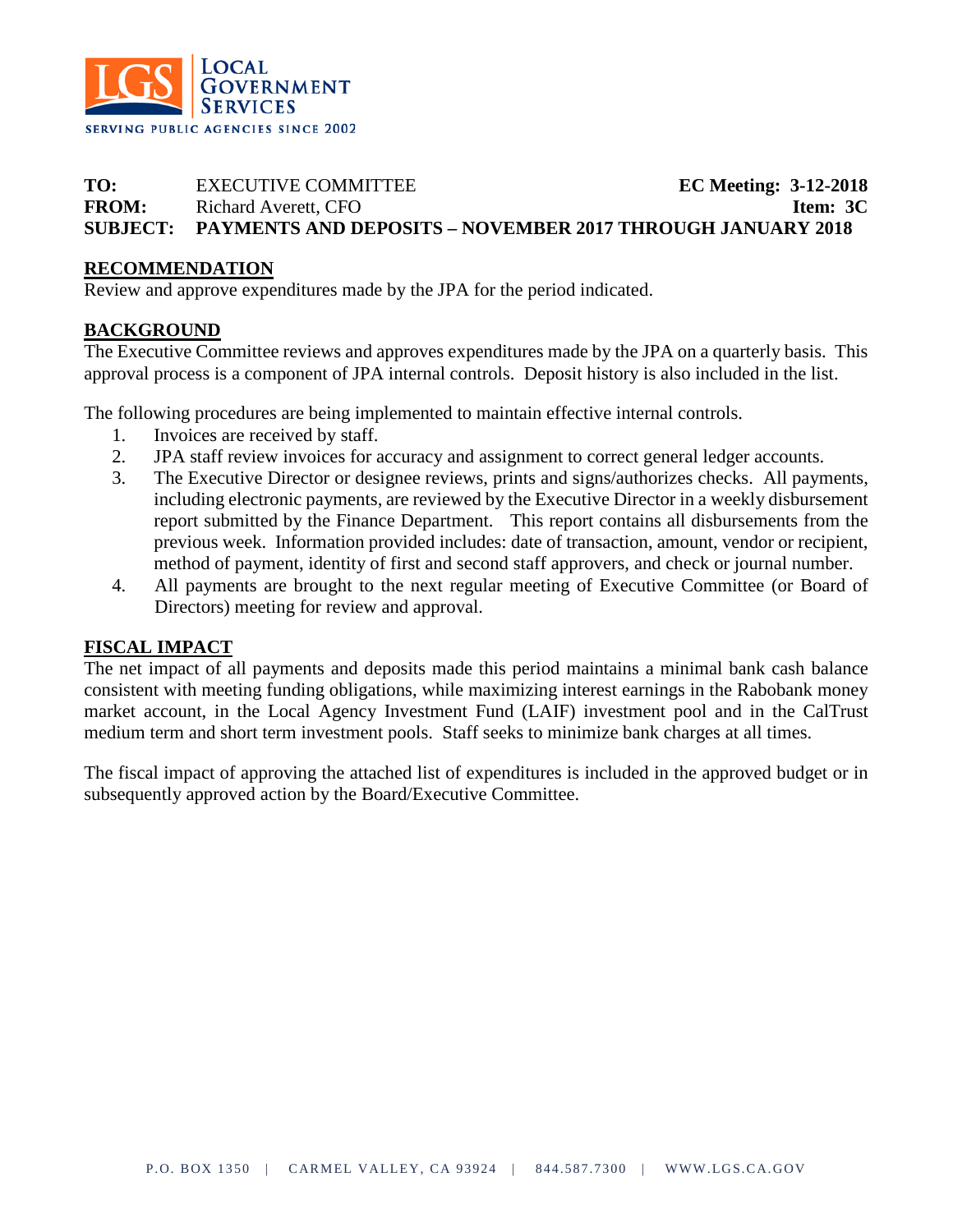

# **TO:** EXECUTIVE COMMITTEE **EC Meeting: 3-12-2018 FROM:** Richard Averett, CFO **Item: 3C SUBJECT: PAYMENTS AND DEPOSITS – NOVEMBER 2017 THROUGH JANUARY 2018**

## **RECOMMENDATION**

Review and approve expenditures made by the JPA for the period indicated.

## **BACKGROUND**

The Executive Committee reviews and approves expenditures made by the JPA on a quarterly basis. This approval process is a component of JPA internal controls. Deposit history is also included in the list.

The following procedures are being implemented to maintain effective internal controls.

- 1. Invoices are received by staff.
- 2. JPA staff review invoices for accuracy and assignment to correct general ledger accounts.
- 3. The Executive Director or designee reviews, prints and signs/authorizes checks. All payments, including electronic payments, are reviewed by the Executive Director in a weekly disbursement report submitted by the Finance Department. This report contains all disbursements from the previous week. Information provided includes: date of transaction, amount, vendor or recipient, method of payment, identity of first and second staff approvers, and check or journal number.
- 4. All payments are brought to the next regular meeting of Executive Committee (or Board of Directors) meeting for review and approval.

## **FISCAL IMPACT**

The net impact of all payments and deposits made this period maintains a minimal bank cash balance consistent with meeting funding obligations, while maximizing interest earnings in the Rabobank money market account, in the Local Agency Investment Fund (LAIF) investment pool and in the CalTrust medium term and short term investment pools. Staff seeks to minimize bank charges at all times.

The fiscal impact of approving the attached list of expenditures is included in the approved budget or in subsequently approved action by the Board/Executive Committee.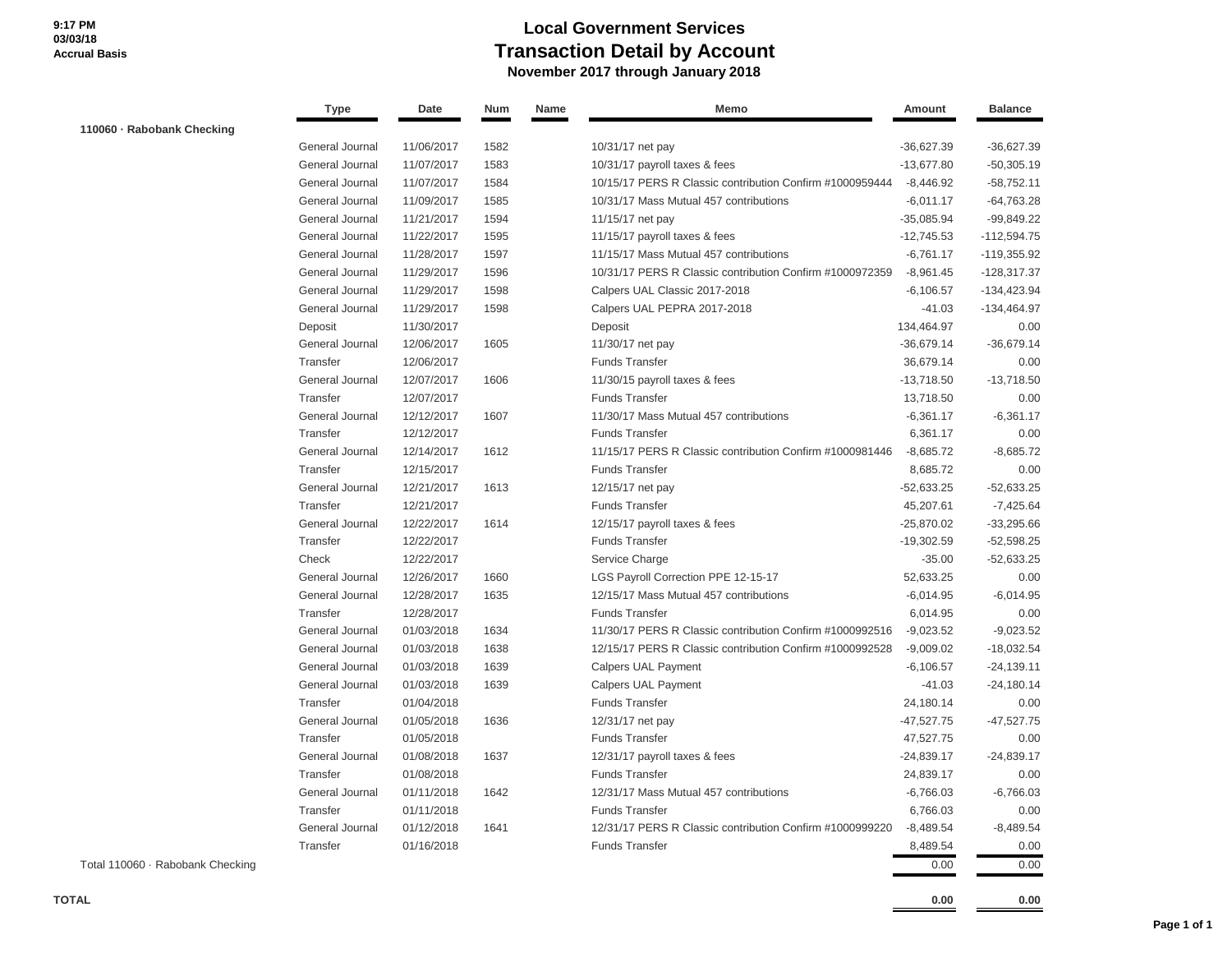# **Local Government Services Transaction Detail by Account November 2017 through January 2018**

|                                  | Type            | Date       | Num  | Name | Memo                                                     | Amount       | <b>Balance</b> |
|----------------------------------|-----------------|------------|------|------|----------------------------------------------------------|--------------|----------------|
| 110060 - Rabobank Checking       |                 |            |      |      |                                                          |              |                |
|                                  | General Journal | 11/06/2017 | 1582 |      | 10/31/17 net pay                                         | $-36,627.39$ | $-36,627.39$   |
|                                  | General Journal | 11/07/2017 | 1583 |      | 10/31/17 payroll taxes & fees                            | $-13,677.80$ | $-50,305.19$   |
|                                  | General Journal | 11/07/2017 | 1584 |      | 10/15/17 PERS R Classic contribution Confirm #1000959444 | $-8,446.92$  | $-58,752.11$   |
|                                  | General Journal | 11/09/2017 | 1585 |      | 10/31/17 Mass Mutual 457 contributions                   | $-6,011.17$  | $-64,763.28$   |
|                                  | General Journal | 11/21/2017 | 1594 |      | 11/15/17 net pay                                         | $-35,085.94$ | $-99,849.22$   |
|                                  | General Journal | 11/22/2017 | 1595 |      | 11/15/17 payroll taxes & fees                            | $-12,745.53$ | $-112,594.75$  |
|                                  | General Journal | 11/28/2017 | 1597 |      | 11/15/17 Mass Mutual 457 contributions                   | $-6,761.17$  | $-119,355.92$  |
|                                  | General Journal | 11/29/2017 | 1596 |      | 10/31/17 PERS R Classic contribution Confirm #1000972359 | $-8,961.45$  | $-128,317.37$  |
|                                  | General Journal | 11/29/2017 | 1598 |      | Calpers UAL Classic 2017-2018                            | $-6,106.57$  | -134,423.94    |
|                                  | General Journal | 11/29/2017 | 1598 |      | Calpers UAL PEPRA 2017-2018                              | $-41.03$     | $-134,464.97$  |
|                                  | Deposit         | 11/30/2017 |      |      | Deposit                                                  | 134,464.97   | 0.00           |
|                                  | General Journal | 12/06/2017 | 1605 |      | 11/30/17 net pay                                         | $-36,679.14$ | $-36,679.14$   |
|                                  | Transfer        | 12/06/2017 |      |      | <b>Funds Transfer</b>                                    | 36,679.14    | 0.00           |
|                                  | General Journal | 12/07/2017 | 1606 |      | 11/30/15 payroll taxes & fees                            | $-13,718.50$ | $-13,718.50$   |
|                                  | Transfer        | 12/07/2017 |      |      | <b>Funds Transfer</b>                                    | 13,718.50    | 0.00           |
|                                  | General Journal | 12/12/2017 | 1607 |      | 11/30/17 Mass Mutual 457 contributions                   | $-6,361.17$  | $-6,361.17$    |
|                                  | Transfer        | 12/12/2017 |      |      | <b>Funds Transfer</b>                                    | 6,361.17     | 0.00           |
|                                  | General Journal | 12/14/2017 | 1612 |      | 11/15/17 PERS R Classic contribution Confirm #1000981446 | $-8,685.72$  | $-8,685.72$    |
|                                  | Transfer        | 12/15/2017 |      |      | <b>Funds Transfer</b>                                    | 8,685.72     | 0.00           |
|                                  | General Journal | 12/21/2017 | 1613 |      | 12/15/17 net pay                                         | $-52,633.25$ | $-52,633.25$   |
|                                  | Transfer        | 12/21/2017 |      |      | <b>Funds Transfer</b>                                    | 45,207.61    | $-7,425.64$    |
|                                  | General Journal | 12/22/2017 | 1614 |      | 12/15/17 payroll taxes & fees                            | $-25,870.02$ | $-33,295.66$   |
|                                  | Transfer        | 12/22/2017 |      |      | <b>Funds Transfer</b>                                    | $-19,302.59$ | $-52,598.25$   |
|                                  | Check           | 12/22/2017 |      |      | Service Charge                                           | $-35.00$     | $-52,633.25$   |
|                                  | General Journal | 12/26/2017 | 1660 |      | LGS Payroll Correction PPE 12-15-17                      | 52,633.25    | 0.00           |
|                                  | General Journal | 12/28/2017 | 1635 |      | 12/15/17 Mass Mutual 457 contributions                   | $-6,014.95$  | $-6,014.95$    |
|                                  | Transfer        | 12/28/2017 |      |      | <b>Funds Transfer</b>                                    | 6,014.95     | 0.00           |
|                                  | General Journal | 01/03/2018 | 1634 |      | 11/30/17 PERS R Classic contribution Confirm #1000992516 | $-9,023.52$  | $-9,023.52$    |
|                                  | General Journal | 01/03/2018 | 1638 |      | 12/15/17 PERS R Classic contribution Confirm #1000992528 | $-9,009.02$  | $-18,032.54$   |
|                                  | General Journal | 01/03/2018 | 1639 |      | <b>Calpers UAL Payment</b>                               | $-6,106.57$  | $-24,139.11$   |
|                                  | General Journal | 01/03/2018 | 1639 |      | <b>Calpers UAL Payment</b>                               | $-41.03$     | $-24,180.14$   |
|                                  | Transfer        | 01/04/2018 |      |      | <b>Funds Transfer</b>                                    | 24,180.14    | 0.00           |
|                                  | General Journal | 01/05/2018 | 1636 |      | 12/31/17 net pay                                         | $-47,527.75$ | $-47,527.75$   |
|                                  | Transfer        | 01/05/2018 |      |      | <b>Funds Transfer</b>                                    | 47,527.75    | 0.00           |
|                                  | General Journal | 01/08/2018 | 1637 |      | 12/31/17 payroll taxes & fees                            | $-24,839.17$ | $-24,839.17$   |
|                                  | Transfer        | 01/08/2018 |      |      | Funds Transfer                                           | 24,839.17    | 0.00           |
|                                  | General Journal | 01/11/2018 | 1642 |      | 12/31/17 Mass Mutual 457 contributions                   | $-6,766.03$  | $-6,766.03$    |
|                                  | Transfer        | 01/11/2018 |      |      | <b>Funds Transfer</b>                                    | 6,766.03     | 0.00           |
|                                  | General Journal | 01/12/2018 | 1641 |      | 12/31/17 PERS R Classic contribution Confirm #1000999220 | $-8,489.54$  | $-8,489.54$    |
|                                  | Transfer        | 01/16/2018 |      |      | <b>Funds Transfer</b>                                    | 8,489.54     | 0.00           |
| Total 110060 · Rabobank Checking |                 |            |      |      |                                                          | 0.00         | 0.00           |

**TOTAL 0.00 0.00**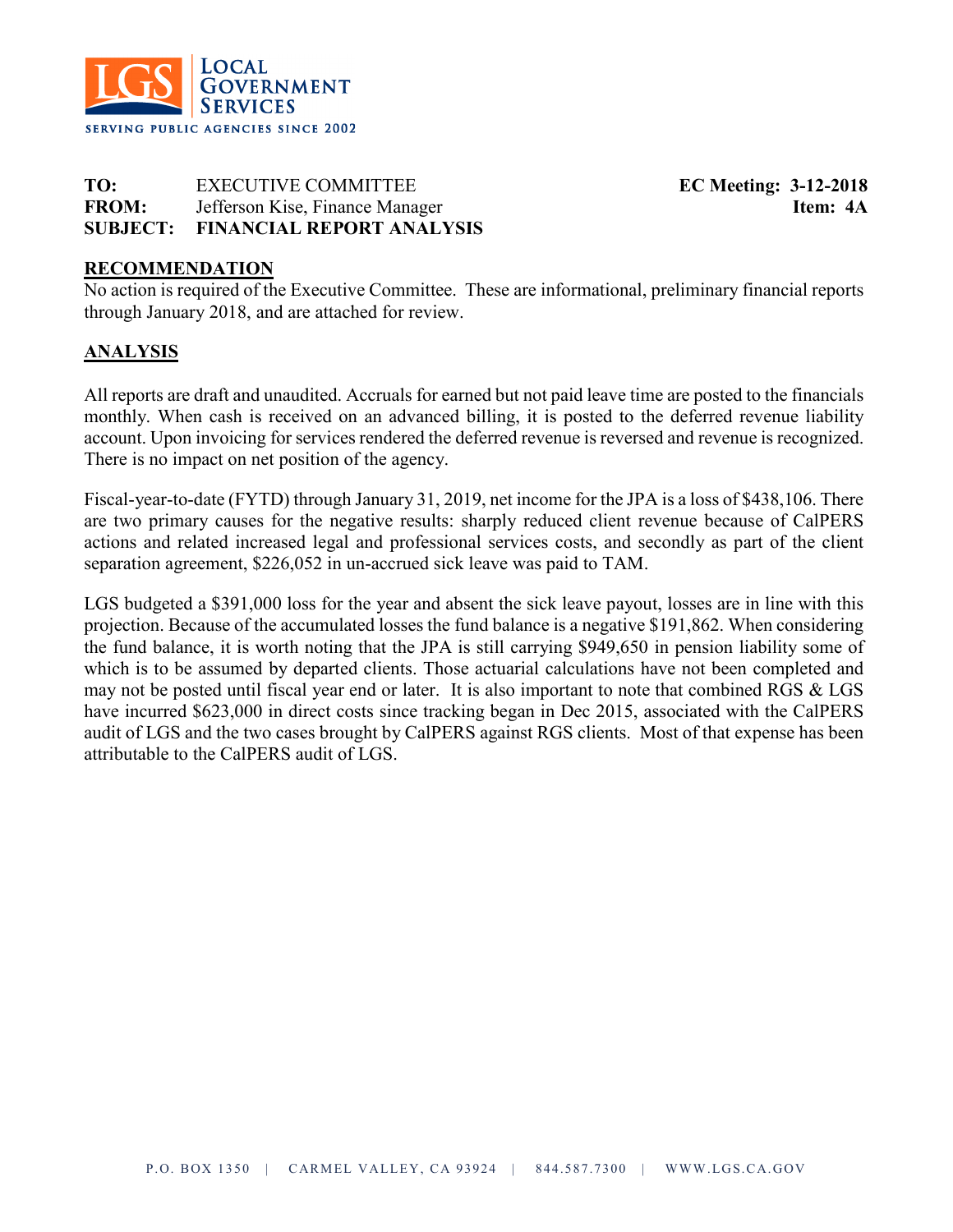

**TO:** EXECUTIVE COMMITTEE **EC Meeting: 3-12-2018 FROM:** Jefferson Kise, Finance Manager **Item: 4A SUBJECT: FINANCIAL REPORT ANALYSIS**

## **RECOMMENDATION**

No action is required of the Executive Committee. These are informational, preliminary financial reports through January 2018, and are attached for review.

## **ANALYSIS**

All reports are draft and unaudited. Accruals for earned but not paid leave time are posted to the financials monthly. When cash is received on an advanced billing, it is posted to the deferred revenue liability account. Upon invoicing for services rendered the deferred revenue is reversed and revenue is recognized. There is no impact on net position of the agency.

Fiscal-year-to-date (FYTD) through January 31, 2019, net income for the JPA is a loss of \$438,106. There are two primary causes for the negative results: sharply reduced client revenue because of CalPERS actions and related increased legal and professional services costs, and secondly as part of the client separation agreement, \$226,052 in un-accrued sick leave was paid to TAM.

LGS budgeted a \$391,000 loss for the year and absent the sick leave payout, losses are in line with this projection. Because of the accumulated losses the fund balance is a negative \$191,862. When considering the fund balance, it is worth noting that the JPA is still carrying \$949,650 in pension liability some of which is to be assumed by departed clients. Those actuarial calculations have not been completed and may not be posted until fiscal year end or later. It is also important to note that combined RGS & LGS have incurred \$623,000 in direct costs since tracking began in Dec 2015, associated with the CalPERS audit of LGS and the two cases brought by CalPERS against RGS clients. Most of that expense has been attributable to the CalPERS audit of LGS.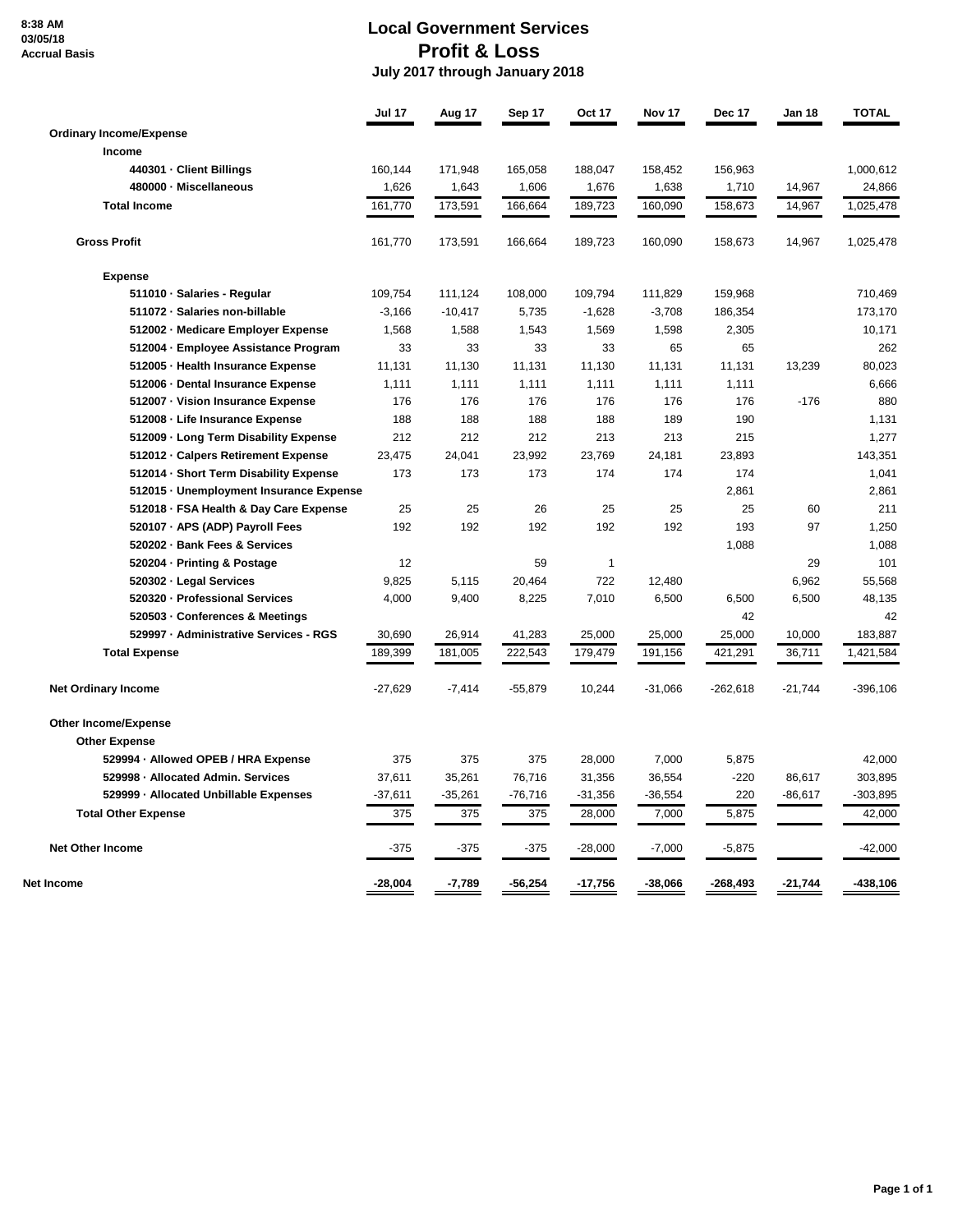**8:38 AM 03/05/18 Accrual Basis**

# **Local Government Services Profit & Loss July 2017 through January 2018**

|                                         | Jul 17    | Aug 17    | Sep 17    | <b>Oct 17</b> | <b>Nov 17</b> | Dec 17     | Jan 18    | <b>TOTAL</b> |
|-----------------------------------------|-----------|-----------|-----------|---------------|---------------|------------|-----------|--------------|
| <b>Ordinary Income/Expense</b>          |           |           |           |               |               |            |           |              |
| <b>Income</b>                           |           |           |           |               |               |            |           |              |
| 440301 · Client Billings                | 160,144   | 171,948   | 165,058   | 188,047       | 158,452       | 156,963    |           | 1,000,612    |
| 480000 - Miscellaneous                  | 1,626     | 1,643     | 1,606     | 1,676         | 1,638         | 1,710      | 14,967    | 24,866       |
| <b>Total Income</b>                     | 161,770   | 173,591   | 166,664   | 189,723       | 160,090       | 158,673    | 14,967    | 1,025,478    |
| <b>Gross Profit</b>                     | 161,770   | 173,591   | 166,664   | 189,723       | 160,090       | 158,673    | 14,967    | 1,025,478    |
| <b>Expense</b>                          |           |           |           |               |               |            |           |              |
| 511010 · Salaries - Regular             | 109,754   | 111,124   | 108,000   | 109,794       | 111,829       | 159,968    |           | 710,469      |
| 511072 - Salaries non-billable          | $-3,166$  | $-10,417$ | 5,735     | $-1,628$      | $-3,708$      | 186,354    |           | 173,170      |
| 512002 - Medicare Employer Expense      | 1,568     | 1,588     | 1,543     | 1,569         | 1,598         | 2,305      |           | 10,171       |
| 512004 · Employee Assistance Program    | 33        | 33        | 33        | 33            | 65            | 65         |           | 262          |
| 512005 · Health Insurance Expense       | 11,131    | 11,130    | 11,131    | 11,130        | 11,131        | 11,131     | 13,239    | 80,023       |
| 512006 · Dental Insurance Expense       | 1,111     | 1,111     | 1,111     | 1,111         | 1,111         | 1,111      |           | 6,666        |
| 512007 · Vision Insurance Expense       | 176       | 176       | 176       | 176           | 176           | 176        | $-176$    | 880          |
| 512008 - Life Insurance Expense         | 188       | 188       | 188       | 188           | 189           | 190        |           | 1,131        |
| 512009 · Long Term Disability Expense   | 212       | 212       | 212       | 213           | 213           | 215        |           | 1,277        |
| 512012 - Calpers Retirement Expense     | 23,475    | 24,041    | 23,992    | 23,769        | 24,181        | 23,893     |           | 143,351      |
| 512014 · Short Term Disability Expense  | 173       | 173       | 173       | 174           | 174           | 174        |           | 1,041        |
| 512015 - Unemployment Insurance Expense |           |           |           |               |               | 2,861      |           | 2,861        |
| 512018 · FSA Health & Day Care Expense  | 25        | 25        | 26        | 25            | 25            | 25         | 60        | 211          |
| 520107 · APS (ADP) Payroll Fees         | 192       | 192       | 192       | 192           | 192           | 193        | 97        | 1,250        |
| 520202 · Bank Fees & Services           |           |           |           |               |               | 1,088      |           | 1,088        |
| 520204 · Printing & Postage             | 12        |           | 59        | $\mathbf{1}$  |               |            | 29        | 101          |
| 520302 · Legal Services                 | 9,825     | 5,115     | 20,464    | 722           | 12,480        |            | 6,962     | 55,568       |
| 520320 · Professional Services          | 4,000     | 9,400     | 8,225     | 7,010         | 6,500         | 6,500      | 6,500     | 48,135       |
| 520503 · Conferences & Meetings         |           |           |           |               |               | 42         |           | 42           |
| 529997 - Administrative Services - RGS  | 30,690    | 26,914    | 41,283    | 25,000        | 25,000        | 25,000     | 10,000    | 183,887      |
| <b>Total Expense</b>                    | 189,399   | 181,005   | 222,543   | 179,479       | 191,156       | 421,291    | 36,711    | 1,421,584    |
| <b>Net Ordinary Income</b>              | $-27,629$ | $-7,414$  | $-55,879$ | 10,244        | $-31,066$     | $-262,618$ | $-21,744$ | $-396,106$   |
| <b>Other Income/Expense</b>             |           |           |           |               |               |            |           |              |
| <b>Other Expense</b>                    |           |           |           |               |               |            |           |              |
| 529994 · Allowed OPEB / HRA Expense     | 375       | 375       | 375       | 28,000        | 7,000         | 5,875      |           | 42,000       |
| 529998 - Allocated Admin. Services      | 37,611    | 35,261    | 76,716    | 31,356        | 36,554        | $-220$     | 86,617    | 303,895      |
| 529999 - Allocated Unbillable Expenses  | $-37,611$ | $-35,261$ | $-76,716$ | $-31,356$     | $-36,554$     | 220        | $-86,617$ | $-303,895$   |
| <b>Total Other Expense</b>              | 375       | 375       | 375       | 28,000        | 7,000         | 5,875      |           | 42,000       |
| <b>Net Other Income</b>                 | $-375$    | $-375$    | $-375$    | $-28,000$     | $-7,000$      | $-5,875$   |           | $-42,000$    |
| Net Income                              | $-28,004$ | -7,789    | $-56,254$ | $-17,756$     | $-38,066$     | -268,493   | $-21,744$ | -438,106     |